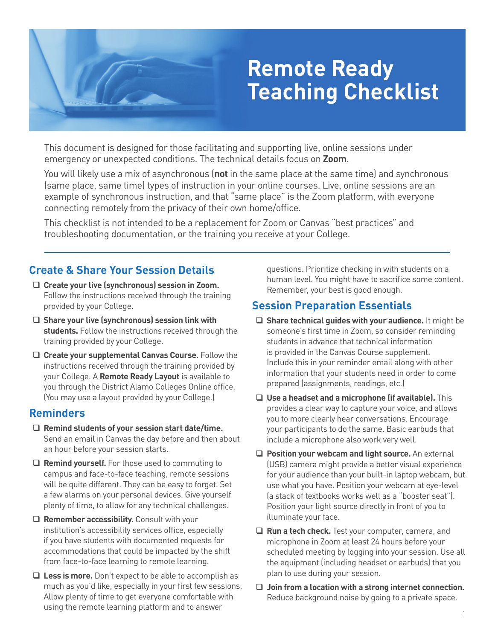# **Remote Ready Teaching Checklist**

This document is designed for those facilitating and supporting live, online sessions under emergency or unexpected conditions. The technical details focus on **Zoom**.

You will likely use a mix of asynchronous (**not** in the same place at the same time) and synchronous (same place, same time) types of instruction in your online courses. Live, online sessions are an example of synchronous instruction, and that "same place" is the Zoom platform, with everyone connecting remotely from the privacy of their own home/office.

This checklist is not intended to be a replacement for Zoom or Canvas "best practices" and troubleshooting documentation, or the training you receive at your College.

### **Create & Share Your Session Details**

- **Create your live (synchronous) session in Zoom.** Follow the instructions received through the training provided by your College.
- **Share your live (synchronous) session link with students.** Follow the instructions received through the training provided by your College.
- **Create your supplemental Canvas Course.** Follow the instructions received through the training provided by your College. A **Remote Ready Layout** is available to you through the District Alamo Colleges Online office. (You may use a layout provided by your College.)

#### **Reminders**

- **Remind students of your session start date/time.** Send an email in Canvas the day before and then about an hour before your session starts.
- **Remind yourself.** For those used to commuting to campus and face-to-face teaching, remote sessions will be quite different. They can be easy to forget. Set a few alarms on your personal devices. Give yourself plenty of time, to allow for any technical challenges.
- □ Remember accessibility. Consult with your institution's accessibility services office, especially if you have students with documented requests for accommodations that could be impacted by the shift from face-to-face learning to remote learning.
- **Less is more.** Don't expect to be able to accomplish as much as you'd like, especially in your first few sessions. Allow plenty of time to get everyone comfortable with using the remote learning platform and to answer

questions. Prioritize checking in with students on a human level. You might have to sacrifice some content. Remember, your best is good enough.

#### **Session Preparation Essentials**

- **Share technical guides with your audience.** It might be someone's first time in Zoom, so consider reminding students in advance that technical information is provided in the Canvas Course supplement. Include this in your reminder email along with other information that your students need in order to come prepared (assignments, readings, etc.)
- **Use a headset and a microphone (if available).** This provides a clear way to capture your voice, and allows you to more clearly hear conversations. Encourage your participants to do the same. Basic earbuds that include a microphone also work very well.
- **Position your webcam and light source.** An external (USB) camera might provide a better visual experience for your audience than your built-in laptop webcam, but use what you have. Position your webcam at eye-level (a stack of textbooks works well as a "booster seat"). Position your light source directly in front of you to illuminate your face.
- **Run a tech check.** Test your computer, camera, and microphone in Zoom at least 24 hours before your scheduled meeting by logging into your session. Use all the equipment (including headset or earbuds) that you plan to use during your session.
- **Join from a location with a strong internet connection.**  Reduce background noise by going to a private space.